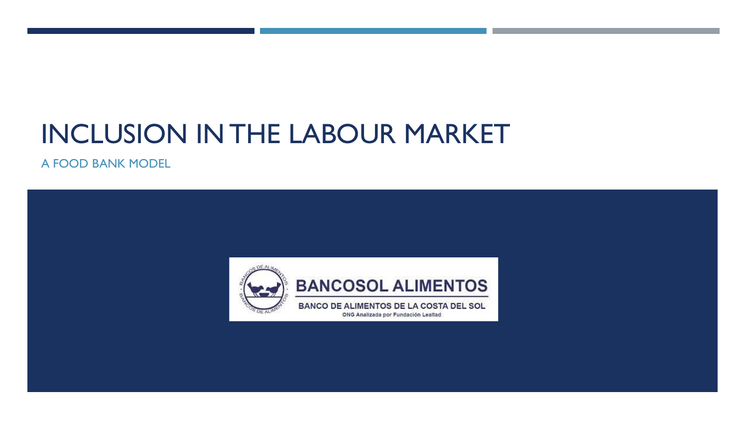# INCLUSION IN THE LABOUR MARKET

A FOOD BANK MODEL

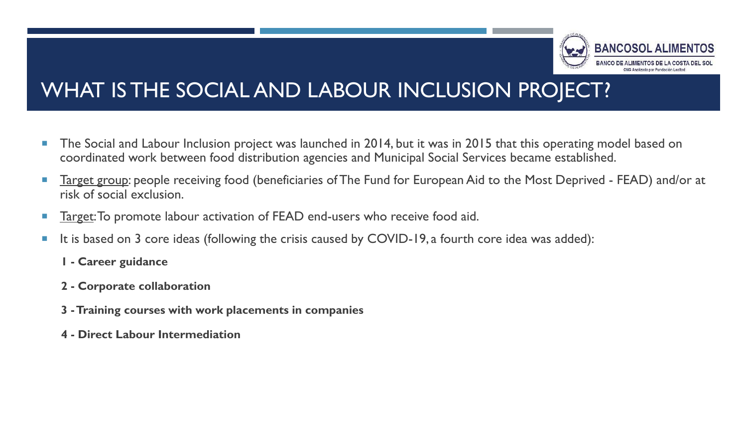

### WHAT IS THE SOCIAL AND LABOUR INCLUSION PROJECT?

- The Social and Labour Inclusion project was launched in 2014, but it was in 2015 that this operating model based on coordinated work between food distribution agencies and Municipal Social Services became established.
- **Target group:** people receiving food (beneficiaries of The Fund for European Aid to the Most Deprived FEAD) and/or at risk of social exclusion.
- **Target: To promote labour activation of FEAD end-users who receive food aid.**
- It is based on 3 core ideas (following the crisis caused by COVID-19, a fourth core idea was added):
	- **1 - Career guidance**
	- **2 - Corporate collaboration**
	- **3 -Training courses with work placements in companies**
	- **4 - Direct Labour Intermediation**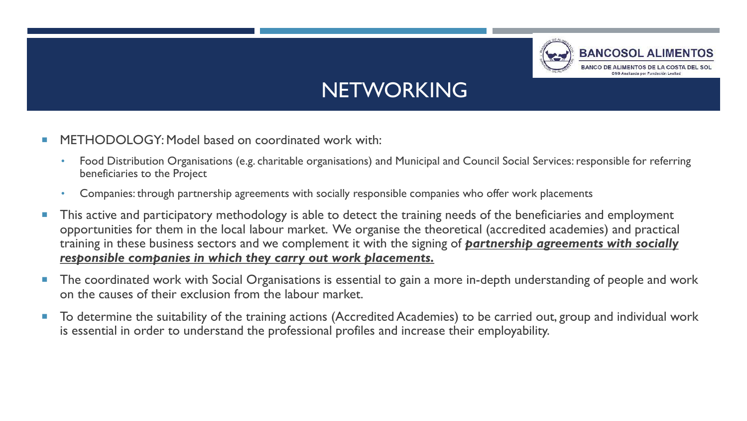

### **NETWORKING**

- METHODOLOGY: Model based on coordinated work with:
	- Food Distribution Organisations (e.g. charitable organisations) and Municipal and Council Social Services: responsible for referring beneficiaries to the Project
	- Companies: through partnership agreements with socially responsible companies who offer work placements
- **This active and participatory methodology is able to detect the training needs of the beneficiaries and employment** opportunities for them in the local labour market. We organise the theoretical (accredited academies) and practical training in these business sectors and we complement it with the signing of *partnership agreements with socially responsible companies in which they carry out work placements.*
- **The coordinated work with Social Organisations is essential to gain a more in-depth understanding of people and work** on the causes of their exclusion from the labour market.
- To determine the suitability of the training actions (Accredited Academies) to be carried out, group and individual work is essential in order to understand the professional profiles and increase their employability.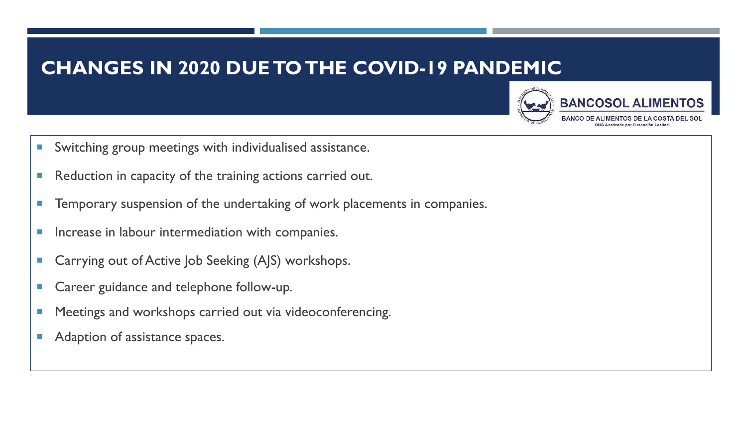### **CHANGES IN 2020 DUE TO THE COVID-19 PANDEMIC**



- Switching group meetings with individualised assistance.
- **Reduction in capacity of the training actions carried out.**
- **Temporary suspension of the undertaking of work placements in companies.**
- **Increase in labour intermediation with companies.**
- Carrying out of Active Job Seeking (AJS) workshops.
- Career guidance and telephone follow-up.
- **Meetings and workshops carried out via videoconferencing.**
- Adaption of assistance spaces.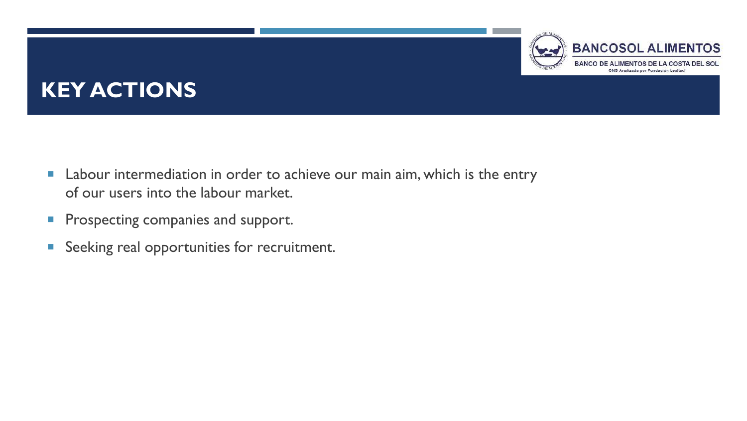#### **BANCOSOL ALIMENTOS BANCO DE ALIMENTOS DE** ONG Analizada por Fundación Lealtad

## **KEY ACTIONS**

- **E** Labour intermediation in order to achieve our main aim, which is the entry of our users into the labour market.
- **Prospecting companies and support.**
- **Seeking real opportunities for recruitment.**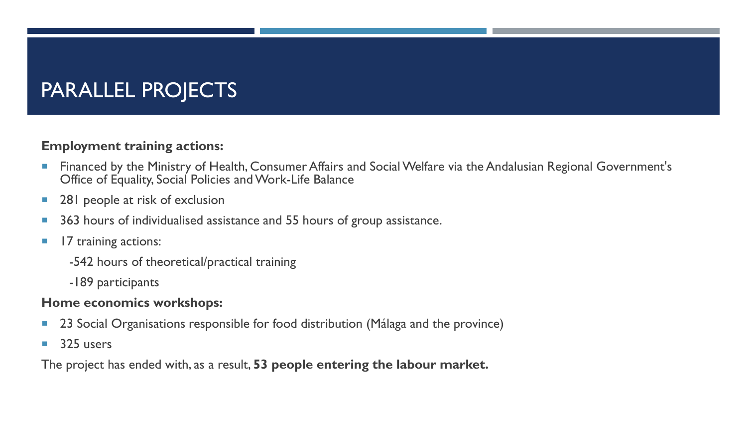### PARALLEL PROJECTS

#### **Employment training actions:**

- **Financed by the Ministry of Health, Consumer Affairs and Social Welfare via the Andalusian Regional Government's** Office of Equality, Social Policies and Work-Life Balance
- 281 people at risk of exclusion
- 363 hours of individualised assistance and 55 hours of group assistance.
- **17 training actions:** 
	- -542 hours of theoretical/practical training
	- -189 participants

#### **Home economics workshops:**

- 23 Social Organisations responsible for food distribution (Málaga and the province)
- $\blacksquare$  325 users

The project has ended with, as a result, **53 people entering the labour market.**